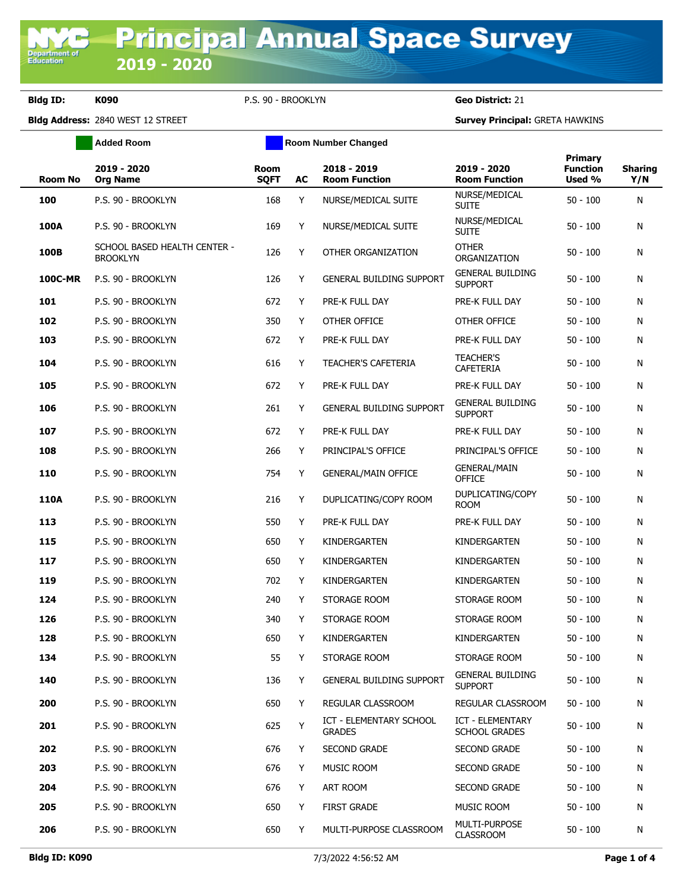Department of<br>Education

**Bldg ID: K090** P.S. 90 - BROOKLYN **Geo District:** 21

**Added Room Room Room Number Changed** 

**Bldg Address:** 2840 WEST 12 STREET **Survey Principal:** GRETA HAWKINS

| <b>Room No</b> | 2019 - 2020<br><b>Org Name</b>                  | Room<br><b>SQFT</b> | <b>AC</b> | 2018 - 2019<br><b>Room Function</b>             | 2019 - 2020<br><b>Room Function</b>       | <b>Primary</b><br><b>Function</b><br>Used % | <b>Sharing</b><br>Y/N |
|----------------|-------------------------------------------------|---------------------|-----------|-------------------------------------------------|-------------------------------------------|---------------------------------------------|-----------------------|
| 100            | P.S. 90 - BROOKLYN                              | 168                 | Y         | NURSE/MEDICAL SUITE                             | NURSE/MEDICAL<br><b>SUITE</b>             | $50 - 100$                                  | N                     |
| 100A           | P.S. 90 - BROOKLYN                              | 169                 | Y         | NURSE/MEDICAL SUITE                             | NURSE/MEDICAL<br><b>SUITE</b>             | $50 - 100$                                  | N                     |
| 100B           | SCHOOL BASED HEALTH CENTER -<br><b>BROOKLYN</b> | 126                 | Y         | OTHER ORGANIZATION                              | <b>OTHER</b><br>ORGANIZATION              | $50 - 100$                                  | N                     |
| <b>100C-MR</b> | P.S. 90 - BROOKLYN                              | 126                 | Y         | <b>GENERAL BUILDING SUPPORT</b>                 | <b>GENERAL BUILDING</b><br><b>SUPPORT</b> | $50 - 100$                                  | N                     |
| 101            | P.S. 90 - BROOKLYN                              | 672                 | Y         | PRE-K FULL DAY                                  | PRE-K FULL DAY                            | $50 - 100$                                  | N                     |
| 102            | P.S. 90 - BROOKLYN                              | 350                 | Y         | OTHER OFFICE                                    | OTHER OFFICE                              | $50 - 100$                                  | N                     |
| 103            | P.S. 90 - BROOKLYN                              | 672                 | Y         | PRE-K FULL DAY                                  | PRE-K FULL DAY                            | $50 - 100$                                  | N                     |
| 104            | P.S. 90 - BROOKLYN                              | 616                 | Y         | <b>TEACHER'S CAFETERIA</b>                      | <b>TEACHER'S</b><br><b>CAFETERIA</b>      | $50 - 100$                                  | N                     |
| 105            | P.S. 90 - BROOKLYN                              | 672                 | Y         | PRE-K FULL DAY                                  | PRE-K FULL DAY                            | $50 - 100$                                  | N                     |
| 106            | P.S. 90 - BROOKLYN                              | 261                 | Y         | <b>GENERAL BUILDING SUPPORT</b>                 | <b>GENERAL BUILDING</b><br><b>SUPPORT</b> | $50 - 100$                                  | N                     |
| 107            | P.S. 90 - BROOKLYN                              | 672                 | Y         | PRE-K FULL DAY                                  | PRE-K FULL DAY                            | $50 - 100$                                  | N                     |
| 108            | P.S. 90 - BROOKLYN                              | 266                 | Y         | PRINCIPAL'S OFFICE                              | PRINCIPAL'S OFFICE                        | $50 - 100$                                  | N                     |
| 110            | P.S. 90 - BROOKLYN                              | 754                 | Y         | <b>GENERAL/MAIN OFFICE</b>                      | <b>GENERAL/MAIN</b><br><b>OFFICE</b>      | $50 - 100$                                  | N                     |
| 110A           | P.S. 90 - BROOKLYN                              | 216                 | Y         | DUPLICATING/COPY ROOM                           | DUPLICATING/COPY<br><b>ROOM</b>           | $50 - 100$                                  | N                     |
| 113            | P.S. 90 - BROOKLYN                              | 550                 | Y         | PRE-K FULL DAY                                  | PRE-K FULL DAY                            | $50 - 100$                                  | N                     |
| 115            | P.S. 90 - BROOKLYN                              | 650                 | Y         | KINDERGARTEN                                    | KINDERGARTEN                              | $50 - 100$                                  | N                     |
| 117            | P.S. 90 - BROOKLYN                              | 650                 | Y         | KINDERGARTEN                                    | KINDERGARTEN                              | $50 - 100$                                  | N                     |
| 119            | P.S. 90 - BROOKLYN                              | 702                 | Y         | KINDERGARTEN                                    | KINDERGARTEN                              | $50 - 100$                                  | N                     |
| 124            | P.S. 90 - BROOKLYN                              | 240                 | Y         | STORAGE ROOM                                    | STORAGE ROOM                              | $50 - 100$                                  | N                     |
| 126            | P.S. 90 - BROOKLYN                              | 340                 | Y         | STORAGE ROOM                                    | STORAGE ROOM                              | $50 - 100$                                  | N                     |
| 128            | P.S. 90 - BROOKLYN                              | 650                 | Y         | KINDERGARTEN                                    | KINDERGARTEN                              | $50 - 100$                                  | N                     |
| 134            | P.S. 90 - BROOKLYN                              | 55                  |           | STORAGE ROOM                                    | STORAGE ROOM                              | $50 - 100$                                  | N                     |
| 140            | P.S. 90 - BROOKLYN                              | 136                 | Y         | <b>GENERAL BUILDING SUPPORT</b>                 | <b>GENERAL BUILDING</b><br><b>SUPPORT</b> | $50 - 100$                                  | N                     |
| 200            | P.S. 90 - BROOKLYN                              | 650                 | Y         | REGULAR CLASSROOM                               | <b>REGULAR CLASSROOM</b>                  | $50 - 100$                                  | N                     |
| 201            | P.S. 90 - BROOKLYN                              | 625                 | Y         | <b>ICT - ELEMENTARY SCHOOL</b><br><b>GRADES</b> | ICT - ELEMENTARY<br><b>SCHOOL GRADES</b>  | $50 - 100$                                  | N                     |
| 202            | P.S. 90 - BROOKLYN                              | 676                 | Y         | <b>SECOND GRADE</b>                             | <b>SECOND GRADE</b>                       | $50 - 100$                                  | N                     |
| 203            | P.S. 90 - BROOKLYN                              | 676                 | Y         | MUSIC ROOM                                      | <b>SECOND GRADE</b>                       | $50 - 100$                                  | N                     |
| 204            | P.S. 90 - BROOKLYN                              | 676                 | Y         | ART ROOM                                        | SECOND GRADE                              | $50 - 100$                                  | N                     |
| 205            | P.S. 90 - BROOKLYN                              | 650                 | Y         | <b>FIRST GRADE</b>                              | <b>MUSIC ROOM</b>                         | $50 - 100$                                  | N                     |
| 206            | P.S. 90 - BROOKLYN                              | 650                 | Y         | MULTI-PURPOSE CLASSROOM                         | MULTI-PURPOSE<br><b>CLASSROOM</b>         | $50 - 100$                                  | N                     |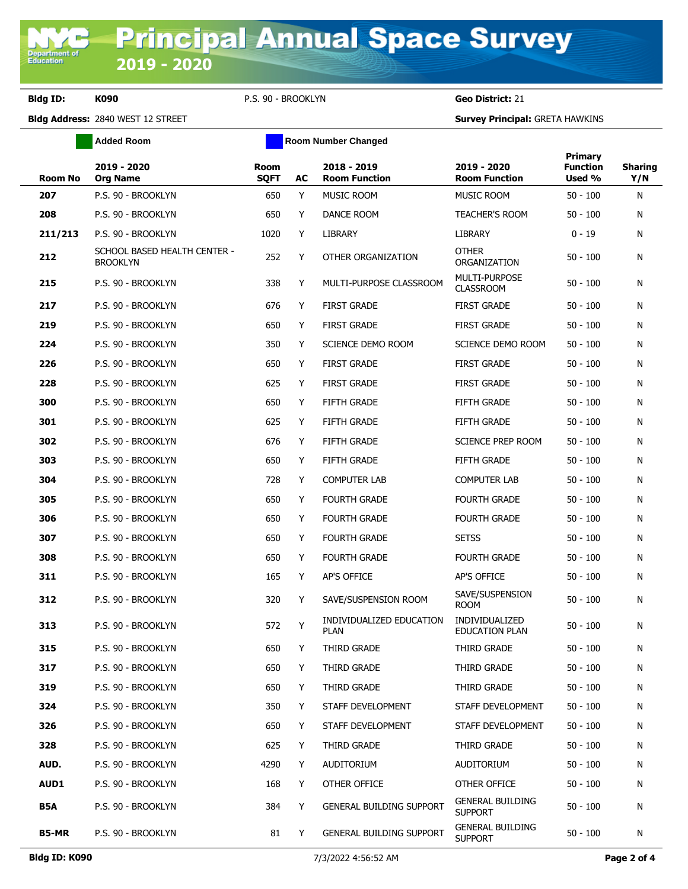**Bldg ID: K090** P.S. 90 - BROOKLYN **Geo District:** 21

**Added Room Room Room Number Changed** 

**Bldg Address:** 2840 WEST 12 STREET **Survey Principal:** GRETA HAWKINS

| <b>Room No</b> | 2019 - 2020<br><b>Org Name</b>                  | Room<br><b>SQFT</b> | AC | 2018 - 2019<br><b>Room Function</b>     | 2019 - 2020<br><b>Room Function</b>       | <b>Primary</b><br><b>Function</b><br>Used % | <b>Sharing</b><br>Y/N |
|----------------|-------------------------------------------------|---------------------|----|-----------------------------------------|-------------------------------------------|---------------------------------------------|-----------------------|
| 207            | P.S. 90 - BROOKLYN                              | 650                 | Y  | MUSIC ROOM                              | MUSIC ROOM                                | $50 - 100$                                  | N                     |
| 208            | P.S. 90 - BROOKLYN                              | 650                 | Y  | DANCE ROOM                              | <b>TEACHER'S ROOM</b>                     | 50 - 100                                    | N                     |
| 211/213        | P.S. 90 - BROOKLYN                              | 1020                | Y  | LIBRARY                                 | LIBRARY                                   | $0 - 19$                                    | N                     |
| 212            | SCHOOL BASED HEALTH CENTER -<br><b>BROOKLYN</b> | 252                 | Y  | OTHER ORGANIZATION                      | <b>OTHER</b><br>ORGANIZATION              | $50 - 100$                                  | N                     |
| 215            | P.S. 90 - BROOKLYN                              | 338                 | Y  | MULTI-PURPOSE CLASSROOM                 | MULTI-PURPOSE<br><b>CLASSROOM</b>         | $50 - 100$                                  | N                     |
| 217            | P.S. 90 - BROOKLYN                              | 676                 | Y  | <b>FIRST GRADE</b>                      | <b>FIRST GRADE</b>                        | $50 - 100$                                  | N                     |
| 219            | P.S. 90 - BROOKLYN                              | 650                 | Y  | <b>FIRST GRADE</b>                      | <b>FIRST GRADE</b>                        | $50 - 100$                                  | N                     |
| 224            | P.S. 90 - BROOKLYN                              | 350                 | Y  | SCIENCE DEMO ROOM                       | SCIENCE DEMO ROOM                         | $50 - 100$                                  | N                     |
| 226            | P.S. 90 - BROOKLYN                              | 650                 | Y  | <b>FIRST GRADE</b>                      | <b>FIRST GRADE</b>                        | $50 - 100$                                  | N                     |
| 228            | P.S. 90 - BROOKLYN                              | 625                 | Y  | <b>FIRST GRADE</b>                      | <b>FIRST GRADE</b>                        | $50 - 100$                                  | N                     |
| 300            | P.S. 90 - BROOKLYN                              | 650                 | Y  | FIFTH GRADE                             | <b>FIFTH GRADE</b>                        | $50 - 100$                                  | N                     |
| 301            | P.S. 90 - BROOKLYN                              | 625                 | Y  | FIFTH GRADE                             | <b>FIFTH GRADE</b>                        | $50 - 100$                                  | N                     |
| 302            | P.S. 90 - BROOKLYN                              | 676                 | Y  | <b>FIFTH GRADE</b>                      | SCIENCE PREP ROOM                         | $50 - 100$                                  | N                     |
| 303            | P.S. 90 - BROOKLYN                              | 650                 | Y  | <b>FIFTH GRADE</b>                      | <b>FIFTH GRADE</b>                        | $50 - 100$                                  | N                     |
| 304            | P.S. 90 - BROOKLYN                              | 728                 | Y  | <b>COMPUTER LAB</b>                     | <b>COMPUTER LAB</b>                       | $50 - 100$                                  | N                     |
| 305            | P.S. 90 - BROOKLYN                              | 650                 | Y  | <b>FOURTH GRADE</b>                     | <b>FOURTH GRADE</b>                       | $50 - 100$                                  | N                     |
| 306            | P.S. 90 - BROOKLYN                              | 650                 | Y  | <b>FOURTH GRADE</b>                     | <b>FOURTH GRADE</b>                       | $50 - 100$                                  | N                     |
| 307            | P.S. 90 - BROOKLYN                              | 650                 | Y  | <b>FOURTH GRADE</b>                     | <b>SETSS</b>                              | $50 - 100$                                  | N                     |
| 308            | P.S. 90 - BROOKLYN                              | 650                 | Y  | <b>FOURTH GRADE</b>                     | <b>FOURTH GRADE</b>                       | $50 - 100$                                  | N                     |
| 311            | P.S. 90 - BROOKLYN                              | 165                 | Y  | AP'S OFFICE                             | AP'S OFFICE                               | $50 - 100$                                  | N                     |
| 312            | P.S. 90 - BROOKLYN                              | 320                 | Y  | SAVE/SUSPENSION ROOM                    | SAVE/SUSPENSION<br><b>ROOM</b>            | $50 - 100$                                  | N                     |
| 313            | P.S. 90 - BROOKLYN                              | 572                 | Y  | INDIVIDUALIZED EDUCATION<br><b>PLAN</b> | INDIVIDUALIZED<br><b>EDUCATION PLAN</b>   | 50 - 100                                    | N                     |
| 315            | P.S. 90 - BROOKLYN                              | 650                 | Y  | THIRD GRADE                             | THIRD GRADE                               | $50 - 100$                                  | N                     |
| 317            | P.S. 90 - BROOKLYN                              | 650                 | Y  | THIRD GRADE                             | THIRD GRADE                               | $50 - 100$                                  | N                     |
| 319            | P.S. 90 - BROOKLYN                              | 650                 | Y  | THIRD GRADE                             | THIRD GRADE                               | $50 - 100$                                  | N                     |
| 324            | P.S. 90 - BROOKLYN                              | 350                 | Y  | STAFF DEVELOPMENT                       | STAFF DEVELOPMENT                         | $50 - 100$                                  | N                     |
| 326            | P.S. 90 - BROOKLYN                              | 650                 | Y  | STAFF DEVELOPMENT                       | STAFF DEVELOPMENT                         | $50 - 100$                                  | N                     |
| 328            | P.S. 90 - BROOKLYN                              | 625                 | Y  | THIRD GRADE                             | THIRD GRADE                               | $50 - 100$                                  | N                     |
| AUD.           | P.S. 90 - BROOKLYN                              | 4290                | Y  | AUDITORIUM                              | AUDITORIUM                                | $50 - 100$                                  | N                     |
| <b>AUD1</b>    | P.S. 90 - BROOKLYN                              | 168                 | Y  | OTHER OFFICE                            | OTHER OFFICE                              | $50 - 100$                                  | N                     |
| <b>B5A</b>     | P.S. 90 - BROOKLYN                              | 384                 | Y  | <b>GENERAL BUILDING SUPPORT</b>         | <b>GENERAL BUILDING</b><br><b>SUPPORT</b> | $50 - 100$                                  | N                     |
| B5-MR          | P.S. 90 - BROOKLYN                              | 81                  | Y  | <b>GENERAL BUILDING SUPPORT</b>         | <b>GENERAL BUILDING</b><br><b>SUPPORT</b> | $50 - 100$                                  | N                     |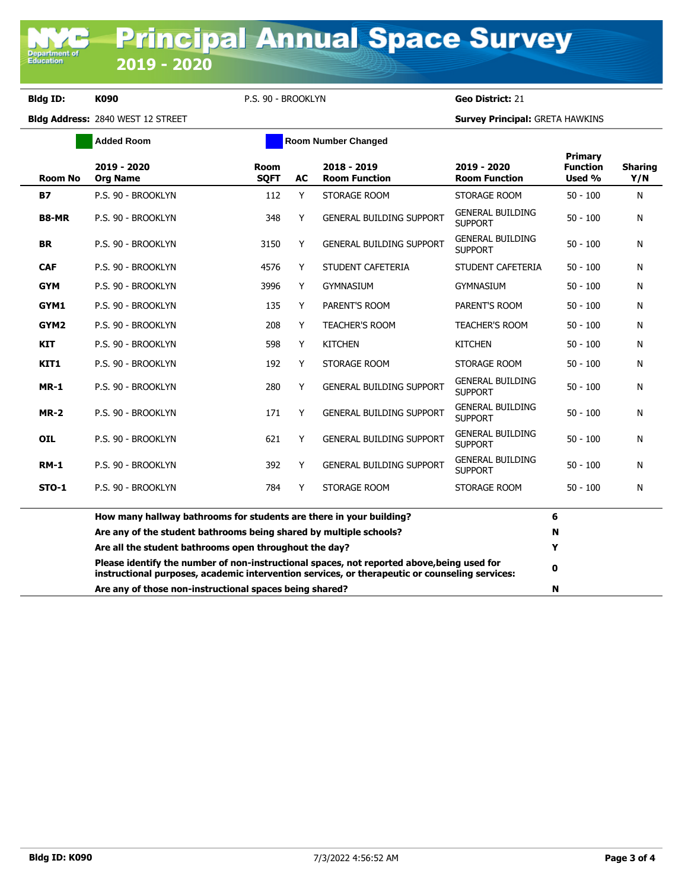**Bldg ID: K090** P.S. 90 - BROOKLYN **Geo District:** 21

**Bldg Address:** 2840 WEST 12 STREET **Survey Principal:** GRETA HAWKINS

|                  | <b>Added Room</b>                                                                                                                                                                            | <b>Room Number Changed</b> |    |                                       |                                           |                                             |                       |
|------------------|----------------------------------------------------------------------------------------------------------------------------------------------------------------------------------------------|----------------------------|----|---------------------------------------|-------------------------------------------|---------------------------------------------|-----------------------|
| <b>Room No</b>   | 2019 - 2020<br><b>Org Name</b>                                                                                                                                                               | Room<br><b>SOFT</b>        | AC | $2018 - 2019$<br><b>Room Function</b> | 2019 - 2020<br><b>Room Function</b>       | <b>Primary</b><br><b>Function</b><br>Used % | <b>Sharing</b><br>Y/N |
| <b>B7</b>        | P.S. 90 - BROOKLYN                                                                                                                                                                           | 112                        | Y  | STORAGE ROOM                          | STORAGE ROOM                              | $50 - 100$                                  | N                     |
| <b>B8-MR</b>     | P.S. 90 - BROOKLYN                                                                                                                                                                           | 348                        | Y  | <b>GENERAL BUILDING SUPPORT</b>       | <b>GENERAL BUILDING</b><br><b>SUPPORT</b> | $50 - 100$                                  | Ν                     |
| <b>BR</b>        | P.S. 90 - BROOKLYN                                                                                                                                                                           | 3150                       | Y  | <b>GENERAL BUILDING SUPPORT</b>       | <b>GENERAL BUILDING</b><br><b>SUPPORT</b> | $50 - 100$                                  | N                     |
| <b>CAF</b>       | P.S. 90 - BROOKLYN                                                                                                                                                                           | 4576                       | Y  | STUDENT CAFETERIA                     | STUDENT CAFETERIA                         | $50 - 100$                                  | N                     |
| <b>GYM</b>       | P.S. 90 - BROOKLYN                                                                                                                                                                           | 3996                       | Y  | <b>GYMNASIUM</b>                      | <b>GYMNASIUM</b>                          | $50 - 100$                                  | Ν                     |
| GYM1             | P.S. 90 - BROOKLYN                                                                                                                                                                           | 135                        | Y  | PARENT'S ROOM                         | PARENT'S ROOM                             | $50 - 100$                                  | N                     |
| GYM <sub>2</sub> | P.S. 90 - BROOKLYN                                                                                                                                                                           | 208                        | Y  | <b>TEACHER'S ROOM</b>                 | <b>TEACHER'S ROOM</b>                     | $50 - 100$                                  | N                     |
| <b>KIT</b>       | P.S. 90 - BROOKLYN                                                                                                                                                                           | 598                        | Y  | <b>KITCHEN</b>                        | <b>KITCHEN</b>                            | $50 - 100$                                  | N                     |
| KIT1             | P.S. 90 - BROOKLYN                                                                                                                                                                           | 192                        | Y  | STORAGE ROOM                          | STORAGE ROOM                              | $50 - 100$                                  | N                     |
| <b>MR-1</b>      | P.S. 90 - BROOKLYN                                                                                                                                                                           | 280                        | Y  | <b>GENERAL BUILDING SUPPORT</b>       | <b>GENERAL BUILDING</b><br><b>SUPPORT</b> | $50 - 100$                                  | N                     |
| $MR-2$           | P.S. 90 - BROOKLYN                                                                                                                                                                           | 171                        | Y  | <b>GENERAL BUILDING SUPPORT</b>       | <b>GENERAL BUILDING</b><br><b>SUPPORT</b> | $50 - 100$                                  | Ν                     |
| <b>OIL</b>       | P.S. 90 - BROOKLYN                                                                                                                                                                           | 621                        | Y  | <b>GENERAL BUILDING SUPPORT</b>       | <b>GENERAL BUILDING</b><br><b>SUPPORT</b> | $50 - 100$                                  | Ν                     |
| <b>RM-1</b>      | P.S. 90 - BROOKLYN                                                                                                                                                                           | 392                        | Y  | <b>GENERAL BUILDING SUPPORT</b>       | <b>GENERAL BUILDING</b><br><b>SUPPORT</b> | $50 - 100$                                  | N                     |
| <b>STO-1</b>     | P.S. 90 - BROOKLYN                                                                                                                                                                           | 784                        | Y  | STORAGE ROOM                          | STORAGE ROOM                              | $50 - 100$                                  | N                     |
|                  | How many hallway bathrooms for students are there in your building?                                                                                                                          |                            |    |                                       |                                           | 6                                           |                       |
|                  | Are any of the student bathrooms being shared by multiple schools?                                                                                                                           |                            |    |                                       |                                           | N                                           |                       |
|                  | Are all the student bathrooms open throughout the day?                                                                                                                                       |                            |    |                                       |                                           | Y                                           |                       |
|                  | Please identify the number of non-instructional spaces, not reported above, being used for<br>instructional purposes, academic intervention services, or therapeutic or counseling services: |                            |    |                                       |                                           | $\mathbf 0$                                 |                       |

**Are any of those non-instructional spaces being shared? N**